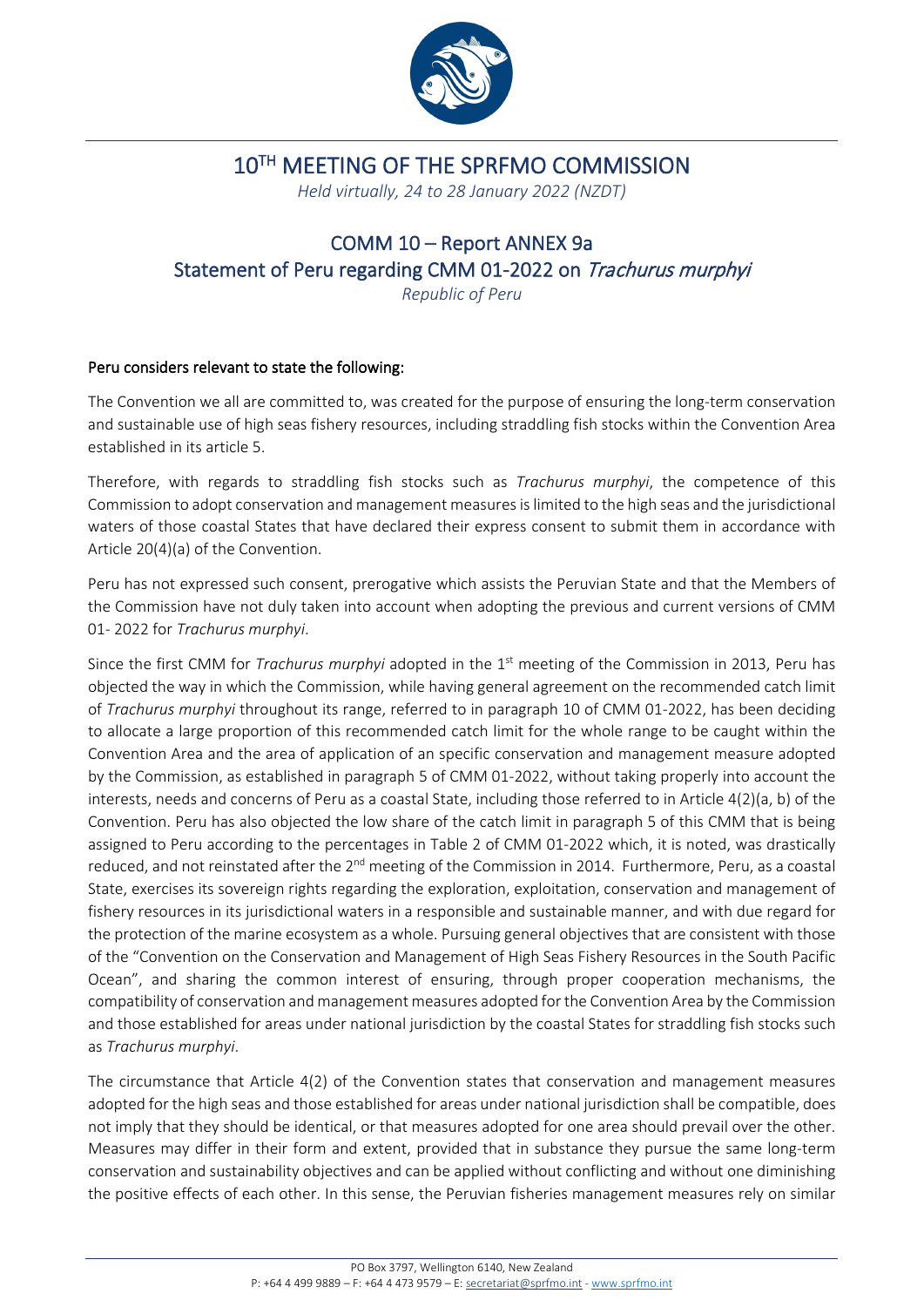

## 10TH MEETING OF THE SPRFMO COMMISSION

*Held virtually, 24 to 28 January 2022 (NZDT)*

## COMM 10 – Report ANNEX 9a Statement of Peru regarding CMM 01-2022 on Trachurus murphyi

*Republic of Peru*

## Peru considers relevant to state the following:

The Convention we all are committed to, was created for the purpose of ensuring the long-term conservation and sustainable use of high seas fishery resources, including straddling fish stocks within the Convention Area established in its article 5.

Therefore, with regards to straddling fish stocks such as *Trachurus murphyi*, the competence of this Commission to adopt conservation and management measures is limited to the high seas and the jurisdictional waters of those coastal States that have declared their express consent to submit them in accordance with Article 20(4)(a) of the Convention.

Peru has not expressed such consent, prerogative which assists the Peruvian State and that the Members of the Commission have not duly taken into account when adopting the previous and current versions of CMM 01- 2022 for *Trachurus murphyi*.

Since the first CMM for *Trachurus murphyi* adopted in the 1<sup>st</sup> meeting of the Commission in 2013, Peru has objected the way in which the Commission, while having general agreement on the recommended catch limit of *Trachurus murphyi* throughout its range, referred to in paragraph 10 of CMM 01-2022, has been deciding to allocate a large proportion of this recommended catch limit for the whole range to be caught within the Convention Area and the area of application of an specific conservation and management measure adopted by the Commission, as established in paragraph 5 of CMM 01-2022, without taking properly into account the interests, needs and concerns of Peru as a coastal State, including those referred to in Article 4(2)(a, b) of the Convention. Peru has also objected the low share of the catch limit in paragraph 5 of this CMM that is being assigned to Peru according to the percentages in Table 2 of CMM 01-2022 which, it is noted, was drastically reduced, and not reinstated after the 2<sup>nd</sup> meeting of the Commission in 2014. Furthermore, Peru, as a coastal State, exercises its sovereign rights regarding the exploration, exploitation, conservation and management of fishery resources in its jurisdictional waters in a responsible and sustainable manner, and with due regard for the protection of the marine ecosystem as a whole. Pursuing general objectives that are consistent with those of the "Convention on the Conservation and Management of High Seas Fishery Resources in the South Pacific Ocean", and sharing the common interest of ensuring, through proper cooperation mechanisms, the compatibility of conservation and management measures adopted for the Convention Area by the Commission and those established for areas under national jurisdiction by the coastal States for straddling fish stocks such as *Trachurus murphyi*.

The circumstance that Article 4(2) of the Convention states that conservation and management measures adopted for the high seas and those established for areas under national jurisdiction shall be compatible, does not imply that they should be identical, or that measures adopted for one area should prevail over the other. Measures may differ in their form and extent, provided that in substance they pursue the same long-term conservation and sustainability objectives and can be applied without conflicting and without one diminishing the positive effects of each other. In this sense, the Peruvian fisheries management measures rely on similar